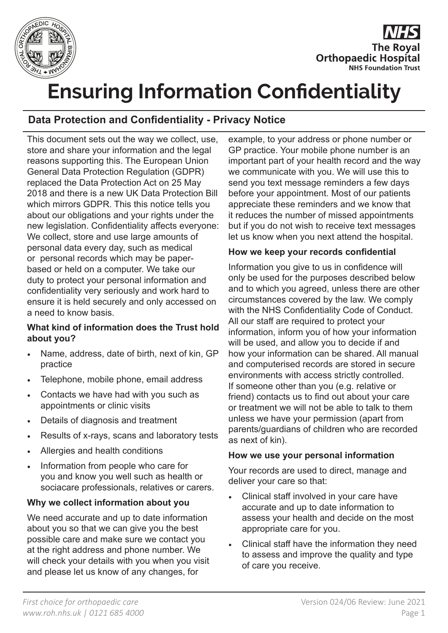

**The Royal Orthopaedic Hospital NHS Foundation Trust** 

# **Ensuring Information Confidentiality**

# **Data Protection and Confidentiality - Privacy Notice**

This document sets out the way we collect, use, store and share your information and the legal reasons supporting this. The European Union General Data Protection Regulation (GDPR) replaced the Data Protection Act on 25 May 2018 and there is a new UK Data Protection Bill which mirrors GDPR. This this notice tells you about our obligations and your rights under the new legislation. Confidentiality affects everyone: We collect, store and use large amounts of personal data every day, such as medical or personal records which may be paperbased or held on a computer. We take our duty to protect your personal information and confidentiality very seriously and work hard to ensure it is held securely and only accessed on a need to know basis.

#### **What kind of information does the Trust hold about you?**

- Name, address, date of birth, next of kin, GP practice
- Telephone, mobile phone, email address
- Contacts we have had with you such as appointments or clinic visits
- Details of diagnosis and treatment
- Results of x-rays, scans and laboratory tests
- Allergies and health conditions
- Information from people who care for you and know you well such as health or sociacare professionals, relatives or carers.

## **Why we collect information about you**

We need accurate and up to date information about you so that we can give you the best possible care and make sure we contact you at the right address and phone number. We will check your details with you when you visit and please let us know of any changes, for

example, to your address or phone number or GP practice. Your mobile phone number is an important part of your health record and the way we communicate with you. We will use this to send you text message reminders a few days before your appointment. Most of our patients appreciate these reminders and we know that it reduces the number of missed appointments but if you do not wish to receive text messages let us know when you next attend the hospital.

#### **How we keep your records confidential**

Information you give to us in confidence will only be used for the purposes described below and to which you agreed, unless there are other circumstances covered by the law. We comply with the NHS Confidentiality Code of Conduct. All our staff are required to protect your information, inform you of how your information will be used, and allow you to decide if and how your information can be shared. All manual and computerised records are stored in secure environments with access strictly controlled. If someone other than you (e.g. relative or friend) contacts us to find out about your care or treatment we will not be able to talk to them unless we have your permission (apart from parents/guardians of children who are recorded as next of kin).

#### **How we use your personal information**

Your records are used to direct, manage and deliver your care so that:

- Clinical staff involved in your care have accurate and up to date information to assess your health and decide on the most appropriate care for you.
- Clinical staff have the information they need to assess and improve the quality and type of care you receive.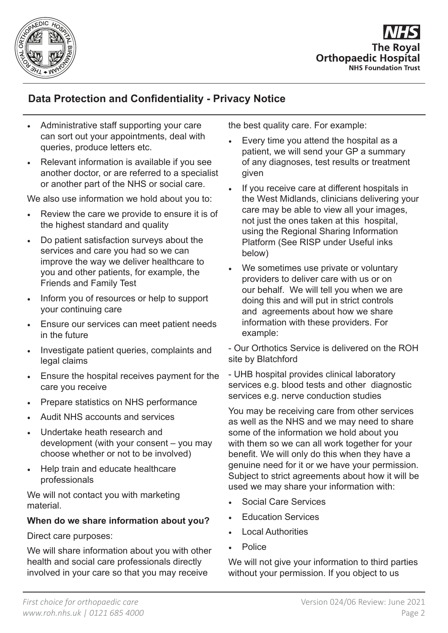

**The Roval Orthopaedic Hospital NHS Foundation Trust** 

# **Data Protection and Confidentiality - Privacy Notice**

- Administrative staff supporting your care can sort out your appointments, deal with queries, produce letters etc.
- Relevant information is available if you see another doctor, or are referred to a specialist or another part of the NHS or social care.

We also use information we hold about you to:

- Review the care we provide to ensure it is of the highest standard and quality
- Do patient satisfaction surveys about the services and care you had so we can improve the way we deliver healthcare to you and other patients, for example, the Friends and Family Test
- Inform you of resources or help to support your continuing care
- Ensure our services can meet patient needs in the future
- Investigate patient queries, complaints and legal claims
- Ensure the hospital receives payment for the care you receive
- Prepare statistics on NHS performance
- Audit NHS accounts and services
- Undertake heath research and development (with your consent – you may choose whether or not to be involved)
- Help train and educate healthcare professionals

We will not contact you with marketing material.

#### **When do we share information about you?**

Direct care purposes:

We will share information about you with other health and social care professionals directly involved in your care so that you may receive

the best quality care. For example:

- Every time you attend the hospital as a patient, we will send your GP a summary of any diagnoses, test results or treatment given
- If you receive care at different hospitals in the West Midlands, clinicians delivering your care may be able to view all your images, not just the ones taken at this hospital, using the Regional Sharing Information Platform (See RISP under Useful inks below)
- We sometimes use private or voluntary providers to deliver care with us or on our behalf. We will tell you when we are doing this and will put in strict controls and agreements about how we share information with these providers. For example:

- Our Orthotics Service is delivered on the ROH site by Blatchford

- UHB hospital provides clinical laboratory services e.g. blood tests and other diagnostic services e.g. nerve conduction studies

You may be receiving care from other services as well as the NHS and we may need to share some of the information we hold about you with them so we can all work together for your benefit. We will only do this when they have a genuine need for it or we have your permission. Subject to strict agreements about how it will be used we may share your information with:

- Social Care Services
- Education Services
- Local Authorities
- Police

We will not give your information to third parties without your permission. If you object to us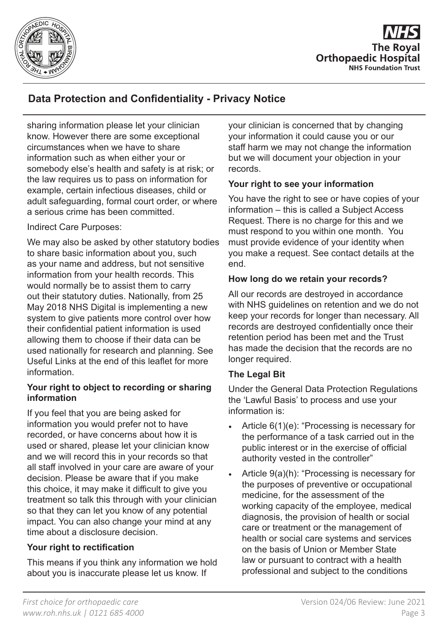

**The Roval Orthopaedic Hospital NHS Foundation Trust** 

# **Data Protection and Confidentiality - Privacy Notice**

sharing information please let your clinician know. However there are some exceptional circumstances when we have to share information such as when either your or somebody else's health and safety is at risk; or the law requires us to pass on information for example, certain infectious diseases, child or adult safeguarding, formal court order, or where a serious crime has been committed.

#### Indirect Care Purposes:

We may also be asked by other statutory bodies to share basic information about you, such as your name and address, but not sensitive information from your health records. This would normally be to assist them to carry out their statutory duties. Nationally, from 25 May 2018 NHS Digital is implementing a new system to give patients more control over how their confidential patient information is used allowing them to choose if their data can be used nationally for research and planning. See Useful Links at the end of this leaflet for more information.

#### **Your right to object to recording or sharing information**

If you feel that you are being asked for information you would prefer not to have recorded, or have concerns about how it is used or shared, please let your clinician know and we will record this in your records so that all staff involved in your care are aware of your decision. Please be aware that if you make this choice, it may make it difficult to give you treatment so talk this through with your clinician so that they can let you know of any potential impact. You can also change your mind at any time about a disclosure decision.

## **Your right to rectification**

This means if you think any information we hold about you is inaccurate please let us know. If

your clinician is concerned that by changing your information it could cause you or our staff harm we may not change the information but we will document your objection in your records.

## **Your right to see your information**

You have the right to see or have copies of your information – this is called a Subject Access Request. There is no charge for this and we must respond to you within one month. You must provide evidence of your identity when you make a request. See contact details at the end.

#### **How long do we retain your records?**

All our records are destroyed in accordance with NHS guidelines on retention and we do not keep your records for longer than necessary. All records are destroyed confidentially once their retention period has been met and the Trust has made the decision that the records are no longer required.

## **The Legal Bit**

Under the General Data Protection Regulations the 'Lawful Basis' to process and use your information is:

- Article 6(1)(e): "Processing is necessary for the performance of a task carried out in the public interest or in the exercise of official authority vested in the controller"
- Article 9(a)(h): "Processing is necessary for the purposes of preventive or occupational medicine, for the assessment of the working capacity of the employee, medical diagnosis, the provision of health or social care or treatment or the management of health or social care systems and services on the basis of Union or Member State law or pursuant to contract with a health professional and subject to the conditions